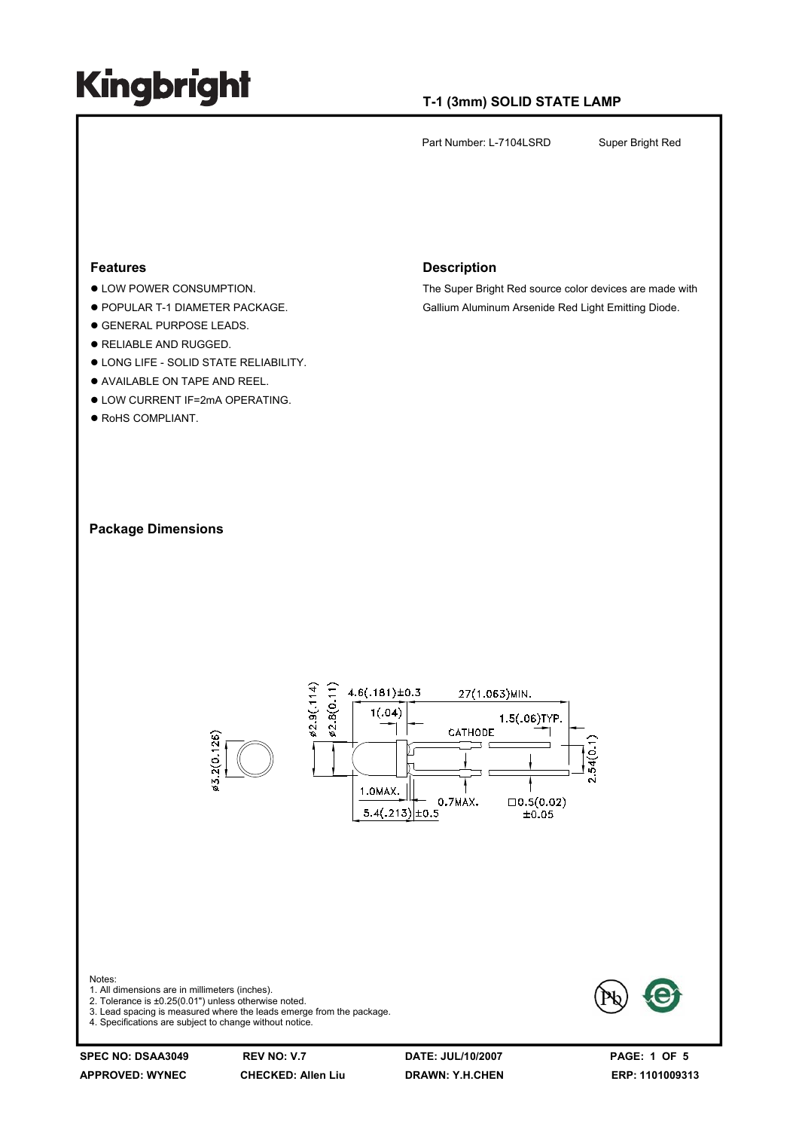### **T-1 (3mm) SOLID STATE LAMP**

Part Number: L-7104LSRD Super Bright Red

### **Features**

- $\bullet$  LOW POWER CONSUMPTION.
- **POPULAR T-1 DIAMETER PACKAGE.**
- $\bullet$  **GENERAL PURPOSE LEADS.**
- **RELIABLE AND RUGGED.**
- $\bullet$  LONG LIFE SOLID STATE RELIABILITY.
- $\bullet$  AVAILABLE ON TAPE AND REEL.
- **. LOW CURRENT IF=2mA OPERATING.**
- $\bullet$  RoHS COMPLIANT.

#### **Description**

The Super Bright Red source color devices are made with Gallium Aluminum Arsenide Red Light Emitting Diode.



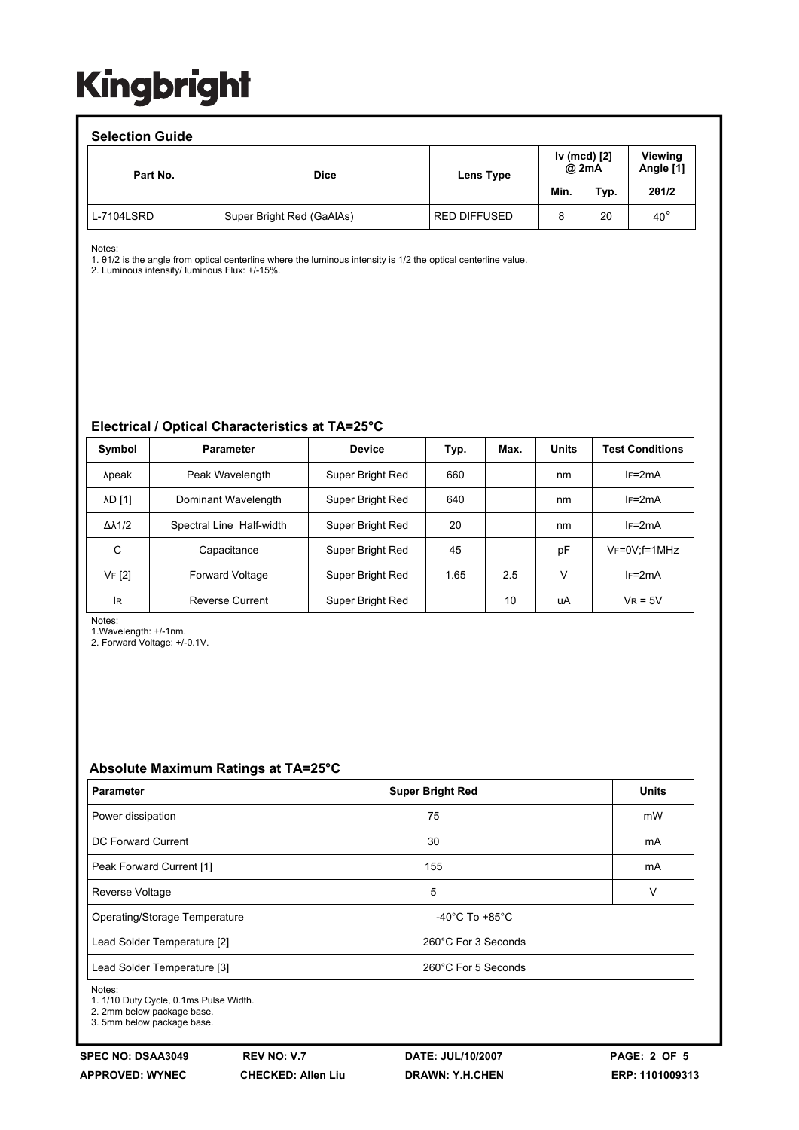### **Selection Guide**

| OUIUUII UUIUU<br>Part No. | <b>Dice</b>               | Lens Type           | Iv (mcd) [2]<br>@ 2mA |      | Viewing<br>Angle [1] |  |
|---------------------------|---------------------------|---------------------|-----------------------|------|----------------------|--|
|                           |                           |                     | Min.                  | Typ. | 201/2                |  |
| L-7104LSRD                | Super Bright Red (GaAlAs) | <b>RED DIFFUSED</b> | 8                     | 20   | $40^{\circ}$         |  |

Notes:

1. θ1/2 is the angle from optical centerline where the luminous intensity is 1/2 the optical centerline value.

2. Luminous intensity/ luminous Flux: +/-15%.

### **Electrical / Optical Characteristics at TA=25°C**

| Symbol              | <b>Parameter</b>         | <b>Device</b>    | Typ. | Max. | <b>Units</b> | <b>Test Conditions</b> |
|---------------------|--------------------------|------------------|------|------|--------------|------------------------|
| λpeak               | Peak Wavelength          | Super Bright Red | 660  |      | nm           | $IF=2mA$               |
| <b>AD [1]</b>       | Dominant Wavelength      | Super Bright Red | 640  |      | nm           | $IF=2mA$               |
| $\Delta\lambda$ 1/2 | Spectral Line Half-width | Super Bright Red | 20   |      | nm           | $IF=2mA$               |
| С                   | Capacitance              | Super Bright Red | 45   |      | pF           | $V_F = 0V$ ; f=1MHz    |
| VF [2]              | <b>Forward Voltage</b>   | Super Bright Red | 1.65 | 2.5  | v            | $IF=2mA$               |
| lR                  | <b>Reverse Current</b>   | Super Bright Red |      | 10   | uA           | $V_R = 5V$             |

Notes:

1.Wavelength: +/-1nm. 2. Forward Voltage: +/-0.1V.

## **Absolute Maximum Ratings at TA=25°C**

| <b>Parameter</b>              | <b>Super Bright Red</b>            | <b>Units</b> |  |  |  |
|-------------------------------|------------------------------------|--------------|--|--|--|
| Power dissipation             | 75                                 | mW           |  |  |  |
| DC Forward Current            | 30                                 | mA           |  |  |  |
| Peak Forward Current [1]      | 155                                | mA           |  |  |  |
| Reverse Voltage               | 5                                  | v            |  |  |  |
| Operating/Storage Temperature | $-40^{\circ}$ C To $+85^{\circ}$ C |              |  |  |  |
| Lead Solder Temperature [2]   | 260°C For 3 Seconds                |              |  |  |  |
| Lead Solder Temperature [3]   | 260°C For 5 Seconds                |              |  |  |  |

Notes:

1. 1/10 Duty Cycle, 0.1ms Pulse Width.

2. 2mm below package base.

3. 5mm below package base.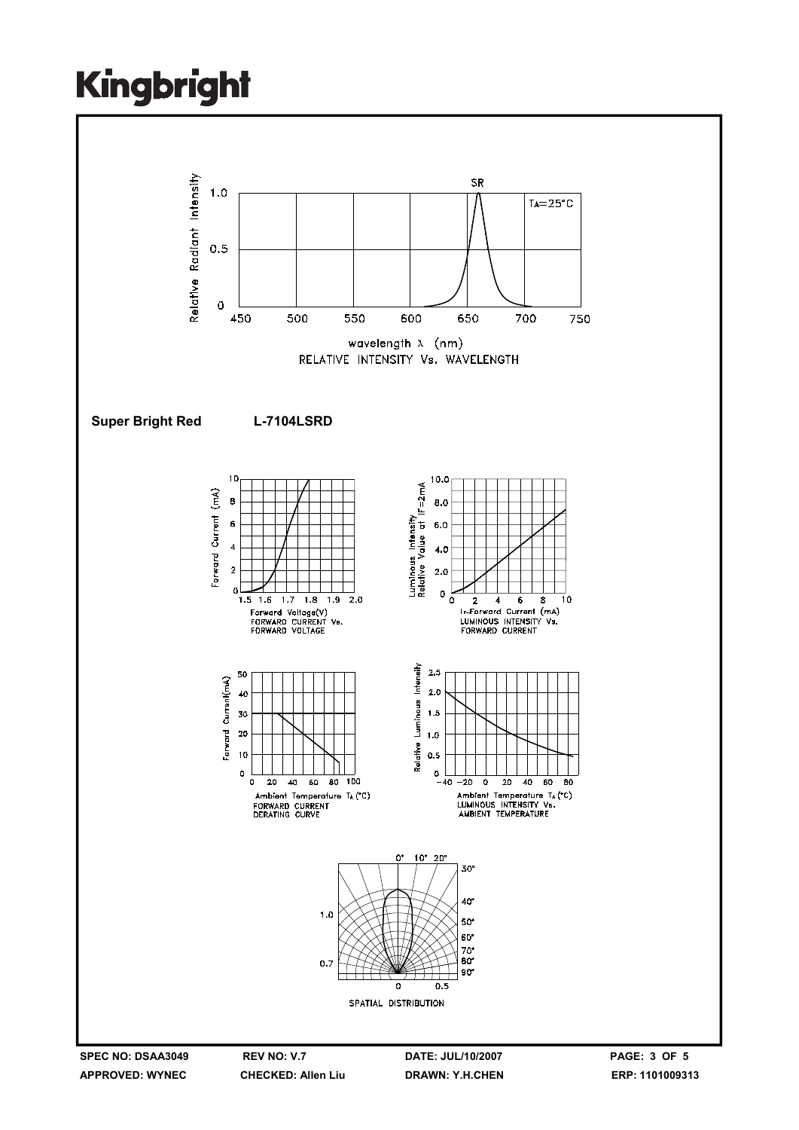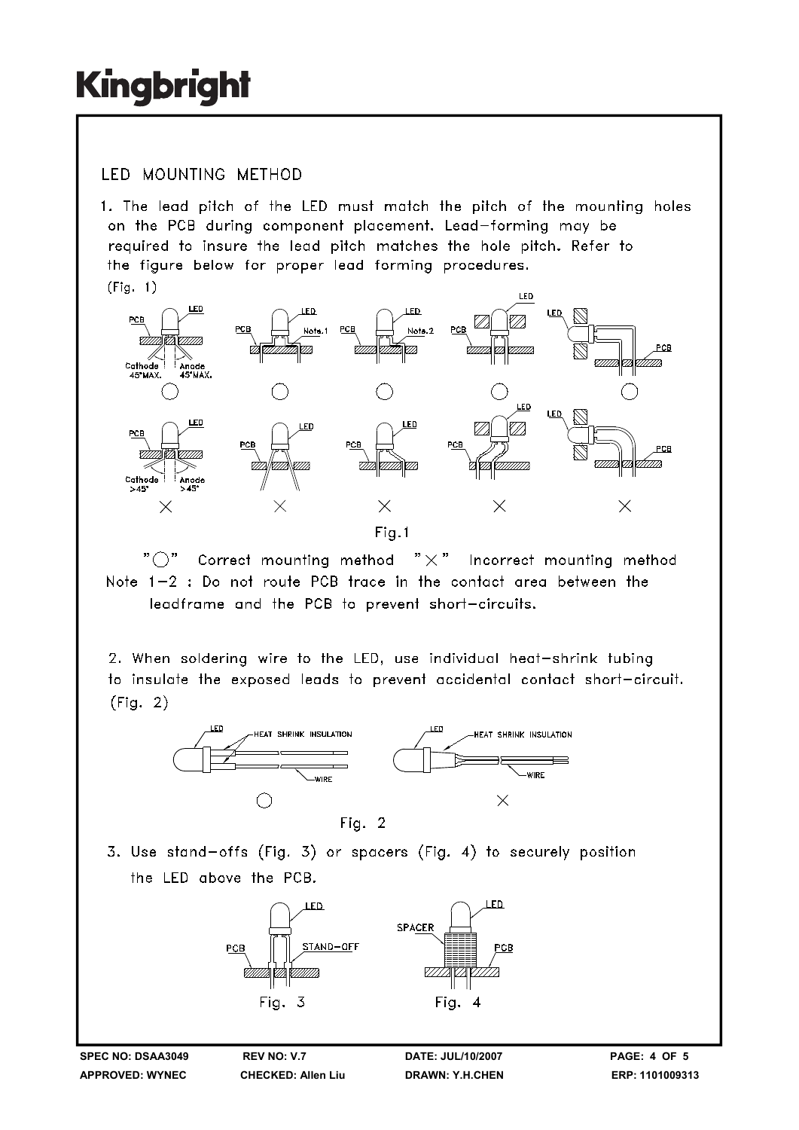## **IFD MOUNTING METHOD**

1. The lead pitch of the LED must match the pitch of the mounting holes on the PCB during component placement. Lead-forming may be required to insure the lead pitch matches the hole pitch. Refer to the figure below for proper lead forming procedures.  $(Fiq. 1)$ 



" ( )" Correct mounting method  $" \times"$  Incorrect mounting method Note 1-2 : Do not route PCB trace in the contact area between the leadframe and the PCB to prevent short-circuits.

2. When soldering wire to the LED, use individual heat-shrink tubing to insulate the exposed leads to prevent accidental contact short-circuit.  $(Fiq. 2)$ 



3. Use stand-offs (Fig. 3) or spacers (Fig. 4) to securely position the LED above the PCB.